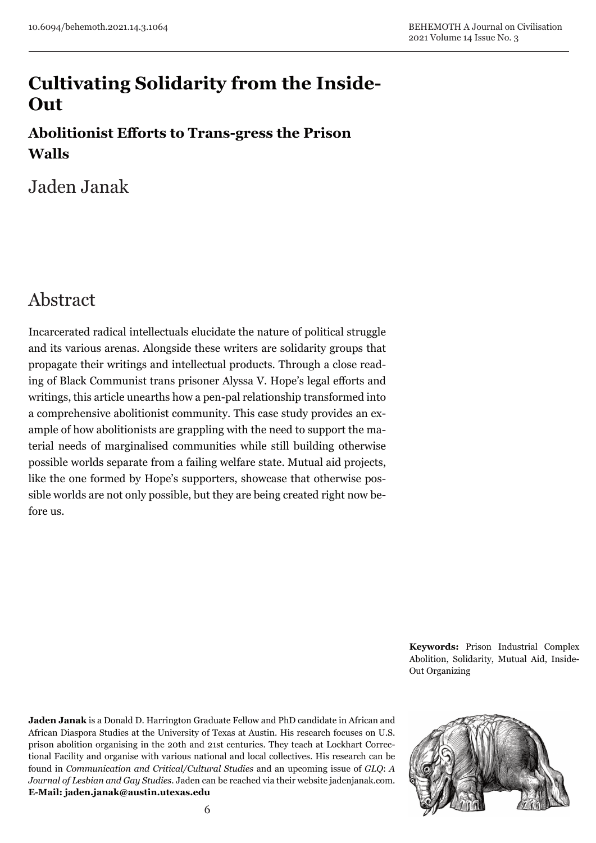# **Cultivating Solidarity from the Inside-Out**

### **Abolitionist Efforts to Trans-gress the Prison Walls**

Jaden Janak

## Abstract

Incarcerated radical intellectuals elucidate the nature of political struggle and its various arenas. Alongside these writers are solidarity groups that propagate their writings and intellectual products. Through a close reading of Black Communist trans prisoner Alyssa V. Hope's legal efforts and writings, this article unearths how a pen-pal relationship transformed into a comprehensive abolitionist community. This case study provides an example of how abolitionists are grappling with the need to support the material needs of marginalised communities while still building otherwise possible worlds separate from a failing welfare state. Mutual aid projects, like the one formed by Hope's supporters, showcase that otherwise possible worlds are not only possible, but they are being created right now before us.

> **Keywords:** Prison Industrial Complex Abolition, Solidarity, Mutual Aid, Inside-Out Organizing

**Jaden Janak** is a Donald D. Harrington Graduate Fellow and PhD candidate in African and African Diaspora Studies at the University of Texas at Austin. His research focuses on U.S. prison abolition organising in the 20th and 21st centuries. They teach at Lockhart Correctional Facility and organise with various national and local collectives. His research can be found in *Communication and Critical/Cultural Studies* and an upcoming issue of *GLQ*: *A Journal of Lesbian and Gay Studies*. Jaden can be reached via their website jadenjanak.com. **E-Mail: jaden.janak@austin.utexas.edu**

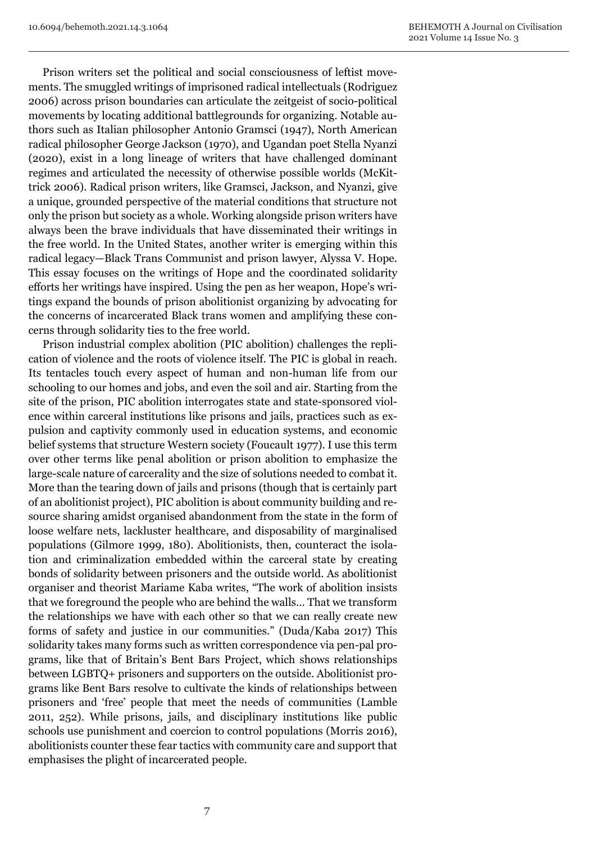Prison writers set the political and social consciousness of leftist movements. The smuggled writings of imprisoned radical intellectuals (Rodriguez 2006) across prison boundaries can articulate the zeitgeist of socio-political movements by locating additional battlegrounds for organizing. Notable authors such as Italian philosopher Antonio Gramsci (1947), North American radical philosopher George Jackson (1970), and Ugandan poet Stella Nyanzi (2020), exist in a long lineage of writers that have challenged dominant regimes and articulated the necessity of otherwise possible worlds (McKittrick 2006). Radical prison writers, like Gramsci, Jackson, and Nyanzi, give a unique, grounded perspective of the material conditions that structure not only the prison but society as a whole. Working alongside prison writers have always been the brave individuals that have disseminated their writings in the free world. In the United States, another writer is emerging within this radical legacy—Black Trans Communist and prison lawyer, Alyssa V. Hope. This essay focuses on the writings of Hope and the coordinated solidarity efforts her writings have inspired. Using the pen as her weapon, Hope's writings expand the bounds of prison abolitionist organizing by advocating for the concerns of incarcerated Black trans women and amplifying these concerns through solidarity ties to the free world.

Prison industrial complex abolition (PIC abolition) challenges the replication of violence and the roots of violence itself. The PIC is global in reach. Its tentacles touch every aspect of human and non-human life from our schooling to our homes and jobs, and even the soil and air. Starting from the site of the prison, PIC abolition interrogates state and state-sponsored violence within carceral institutions like prisons and jails, practices such as expulsion and captivity commonly used in education systems, and economic belief systems that structure Western society (Foucault 1977). I use this term over other terms like penal abolition or prison abolition to emphasize the large-scale nature of carcerality and the size of solutions needed to combat it. More than the tearing down of jails and prisons (though that is certainly part of an abolitionist project), PIC abolition is about community building and resource sharing amidst organised abandonment from the state in the form of loose welfare nets, lackluster healthcare, and disposability of marginalised populations (Gilmore 1999, 180). Abolitionists, then, counteract the isolation and criminalization embedded within the carceral state by creating bonds of solidarity between prisoners and the outside world. As abolitionist organiser and theorist Mariame Kaba writes, "The work of abolition insists that we foreground the people who are behind the walls… That we transform the relationships we have with each other so that we can really create new forms of safety and justice in our communities." (Duda/Kaba 2017) This solidarity takes many forms such as written correspondence via pen-pal programs, like that of Britain's Bent Bars Project, which shows relationships between LGBTQ+ prisoners and supporters on the outside. Abolitionist programs like Bent Bars resolve to cultivate the kinds of relationships between prisoners and 'free' people that meet the needs of communities (Lamble 2011, 252). While prisons, jails, and disciplinary institutions like public schools use punishment and coercion to control populations (Morris 2016), abolitionists counter these fear tactics with community care and support that emphasises the plight of incarcerated people.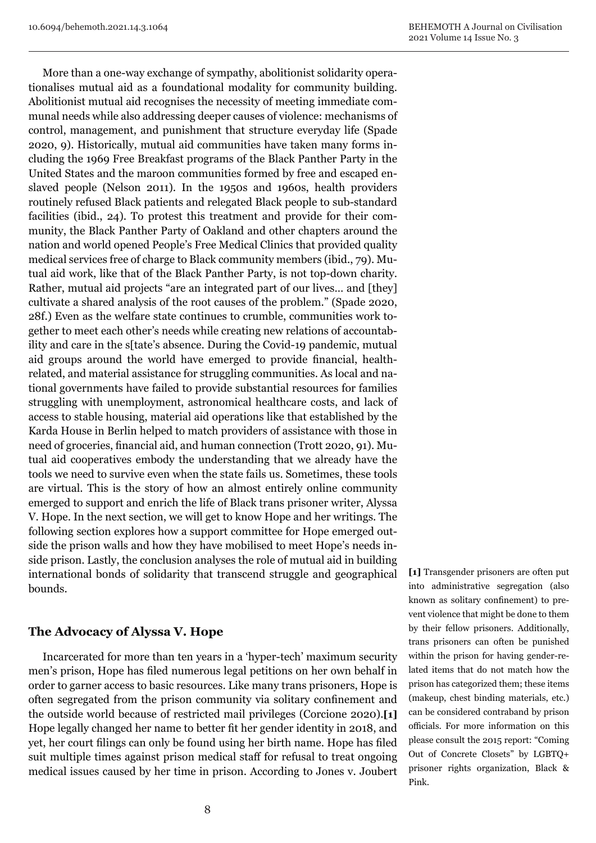More than a one-way exchange of sympathy, abolitionist solidarity operationalises mutual aid as a foundational modality for community building. Abolitionist mutual aid recognises the necessity of meeting immediate communal needs while also addressing deeper causes of violence: mechanisms of control, management, and punishment that structure everyday life (Spade 2020, 9). Historically, mutual aid communities have taken many forms including the 1969 Free Breakfast programs of the Black Panther Party in the United States and the maroon communities formed by free and escaped enslaved people (Nelson 2011). In the 1950s and 1960s, health providers routinely refused Black patients and relegated Black people to sub-standard facilities (ibid., 24). To protest this treatment and provide for their community, the Black Panther Party of Oakland and other chapters around the nation and world opened People's Free Medical Clinics that provided quality medical services free of charge to Black community members (ibid., 79). Mutual aid work, like that of the Black Panther Party, is not top-down charity. Rather, mutual aid projects "are an integrated part of our lives… and [they] cultivate a shared analysis of the root causes of the problem." (Spade 2020, 28f.) Even as the welfare state continues to crumble, communities work together to meet each other's needs while creating new relations of accountability and care in the s[tate's absence. During the Covid-19 pandemic, mutual aid groups around the world have emerged to provide financial, healthrelated, and material assistance for struggling communities. As local and national governments have failed to provide substantial resources for families struggling with unemployment, astronomical healthcare costs, and lack of access to stable housing, material aid operations like that established by the Karda House in Berlin helped to match providers of assistance with those in need of groceries, financial aid, and human connection (Trott 2020, 91). Mutual aid cooperatives embody the understanding that we already have the tools we need to survive even when the state fails us. Sometimes, these tools are virtual. This is the story of how an almost entirely online community emerged to support and enrich the life of Black trans prisoner writer, Alyssa V. Hope. In the next section, we will get to know Hope and her writings. The following section explores how a support committee for Hope emerged outside the prison walls and how they have mobilised to meet Hope's needs inside prison. Lastly, the conclusion analyses the role of mutual aid in building international bonds of solidarity that transcend struggle and geographical bounds.

#### **The Advocacy of Alyssa V. Hope**

Incarcerated for more than ten years in a 'hyper-tech' maximum security men's prison, Hope has filed numerous legal petitions on her own behalf in order to garner access to basic resources. Like many trans prisoners, Hope is often segregated from the prison community via solitary confinement and the outside world because of restricted mail privileges (Corcione 2020).**[1]** Hope legally changed her name to better fit her gender identity in 2018, and yet, her court filings can only be found using her birth name. Hope has filed suit multiple times against prison medical staff for refusal to treat ongoing medical issues caused by her time in prison. According to Jones v. Joubert **[1]** Transgender prisoners are often put into administrative segregation (also known as solitary confinement) to prevent violence that might be done to them by their fellow prisoners. Additionally, trans prisoners can often be punished within the prison for having gender-related items that do not match how the prison has categorized them; these items (makeup, chest binding materials, etc.) can be considered contraband by prison officials. For more information on this please consult the 2015 report: "Coming Out of Concrete Closets" by LGBTQ+ prisoner rights organization, Black & Pink.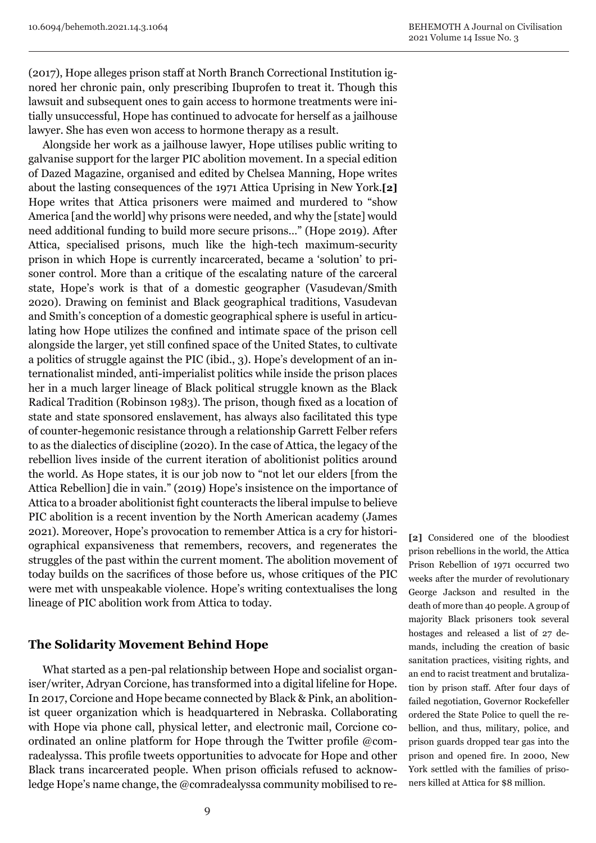(2017), Hope alleges prison staff at North Branch Correctional Institution ignored her chronic pain, only prescribing Ibuprofen to treat it. Though this lawsuit and subsequent ones to gain access to hormone treatments were initially unsuccessful, Hope has continued to advocate for herself as a jailhouse lawyer. She has even won access to hormone therapy as a result.

Alongside her work as a jailhouse lawyer, Hope utilises public writing to galvanise support for the larger PIC abolition movement. In a special edition of Dazed Magazine, organised and edited by Chelsea Manning, Hope writes about the lasting consequences of the 1971 Attica Uprising in New York.**[2]** Hope writes that Attica prisoners were maimed and murdered to "show America [and the world] why prisons were needed, and why the [state] would need additional funding to build more secure prisons…" (Hope 2019). After Attica, specialised prisons, much like the high-tech maximum-security prison in which Hope is currently incarcerated, became a 'solution' to prisoner control. More than a critique of the escalating nature of the carceral state, Hope's work is that of a domestic geographer (Vasudevan/Smith 2020). Drawing on feminist and Black geographical traditions, Vasudevan and Smith's conception of a domestic geographical sphere is useful in articulating how Hope utilizes the confined and intimate space of the prison cell alongside the larger, yet still confined space of the United States, to cultivate a politics of struggle against the PIC (ibid., 3). Hope's development of an internationalist minded, anti-imperialist politics while inside the prison places her in a much larger lineage of Black political struggle known as the Black Radical Tradition (Robinson 1983). The prison, though fixed as a location of state and state sponsored enslavement, has always also facilitated this type of counter-hegemonic resistance through a relationship Garrett Felber refers to as the dialectics of discipline (2020). In the case of Attica, the legacy of the rebellion lives inside of the current iteration of abolitionist politics around the world. As Hope states, it is our job now to "not let our elders [from the Attica Rebellion] die in vain." (2019) Hope's insistence on the importance of Attica to a broader abolitionist fight counteracts the liberal impulse to believe PIC abolition is a recent invention by the North American academy (James 2021). Moreover, Hope's provocation to remember Attica is a cry for historiographical expansiveness that remembers, recovers, and regenerates the struggles of the past within the current moment. The abolition movement of today builds on the sacrifices of those before us, whose critiques of the PIC were met with unspeakable violence. Hope's writing contextualises the long lineage of PIC abolition work from Attica to today.

#### **The Solidarity Movement Behind Hope**

What started as a pen-pal relationship between Hope and socialist organiser/writer, Adryan Corcione, has transformed into a digital lifeline for Hope. In 2017, Corcione and Hope became connected by Black & Pink, an abolitionist queer organization which is headquartered in Nebraska. Collaborating with Hope via phone call, physical letter, and electronic mail, Corcione coordinated an online platform for Hope through the Twitter profile @comradealyssa. This profile tweets opportunities to advocate for Hope and other Black trans incarcerated people. When prison officials refused to acknowledge Hope's name change, the @comradealyssa community mobilised to re-

**[2]** Considered one of the bloodiest prison rebellions in the world, the Attica Prison Rebellion of 1971 occurred two weeks after the murder of revolutionary George Jackson and resulted in the death of more than 40 people. A group of majority Black prisoners took several hostages and released a list of 27 demands, including the creation of basic sanitation practices, visiting rights, and an end to racist treatment and brutalization by prison staff. After four days of failed negotiation, Governor Rockefeller ordered the State Police to quell the rebellion, and thus, military, police, and prison guards dropped tear gas into the prison and opened fire. In 2000, New York settled with the families of prisoners killed at Attica for \$8 million.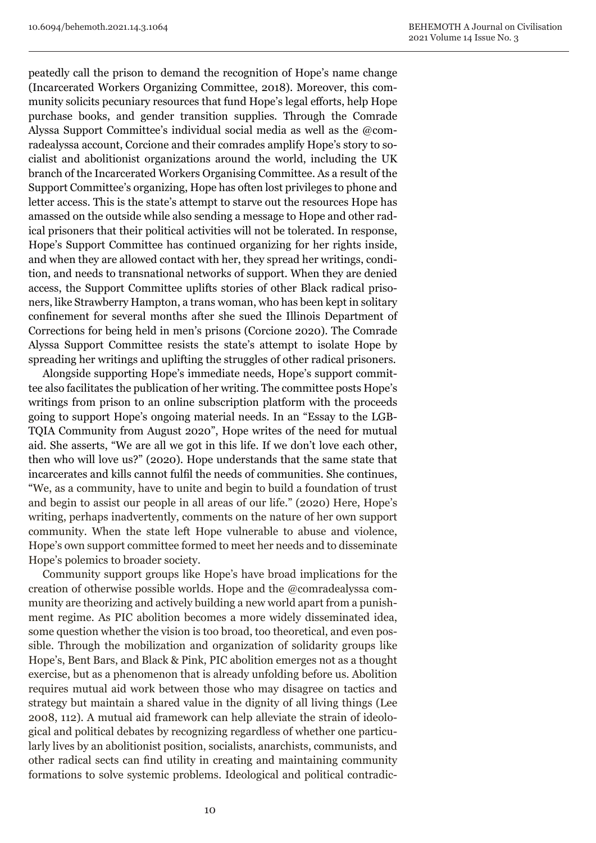peatedly call the prison to demand the recognition of Hope's name change (Incarcerated Workers Organizing Committee, 2018). Moreover, this community solicits pecuniary resources that fund Hope's legal efforts, help Hope purchase books, and gender transition supplies. Through the Comrade Alyssa Support Committee's individual social media as well as the @comradealyssa account, Corcione and their comrades amplify Hope's story to socialist and abolitionist organizations around the world, including the UK branch of the Incarcerated Workers Organising Committee. As a result of the Support Committee's organizing, Hope has often lost privileges to phone and letter access. This is the state's attempt to starve out the resources Hope has amassed on the outside while also sending a message to Hope and other radical prisoners that their political activities will not be tolerated. In response, Hope's Support Committee has continued organizing for her rights inside, and when they are allowed contact with her, they spread her writings, condition, and needs to transnational networks of support. When they are denied access, the Support Committee uplifts stories of other Black radical prisoners, like Strawberry Hampton, a trans woman, who has been kept in solitary confinement for several months after she sued the Illinois Department of Corrections for being held in men's prisons (Corcione 2020). The Comrade Alyssa Support Committee resists the state's attempt to isolate Hope by spreading her writings and uplifting the struggles of other radical prisoners.

Alongside supporting Hope's immediate needs, Hope's support committee also facilitates the publication of her writing. The committee posts Hope's writings from prison to an online subscription platform with the proceeds going to support Hope's ongoing material needs. In an "Essay to the LGB-TQIA Community from August 2020", Hope writes of the need for mutual aid. She asserts, "We are all we got in this life. If we don't love each other, then who will love us?" (2020). Hope understands that the same state that incarcerates and kills cannot fulfil the needs of communities. She continues, "We, as a community, have to unite and begin to build a foundation of trust and begin to assist our people in all areas of our life." (2020) Here, Hope's writing, perhaps inadvertently, comments on the nature of her own support community. When the state left Hope vulnerable to abuse and violence, Hope's own support committee formed to meet her needs and to disseminate Hope's polemics to broader society.

Community support groups like Hope's have broad implications for the creation of otherwise possible worlds. Hope and the @comradealyssa community are theorizing and actively building a new world apart from a punishment regime. As PIC abolition becomes a more widely disseminated idea, some question whether the vision is too broad, too theoretical, and even possible. Through the mobilization and organization of solidarity groups like Hope's, Bent Bars, and Black & Pink, PIC abolition emerges not as a thought exercise, but as a phenomenon that is already unfolding before us. Abolition requires mutual aid work between those who may disagree on tactics and strategy but maintain a shared value in the dignity of all living things (Lee 2008, 112). A mutual aid framework can help alleviate the strain of ideological and political debates by recognizing regardless of whether one particularly lives by an abolitionist position, socialists, anarchists, communists, and other radical sects can find utility in creating and maintaining community formations to solve systemic problems. Ideological and political contradic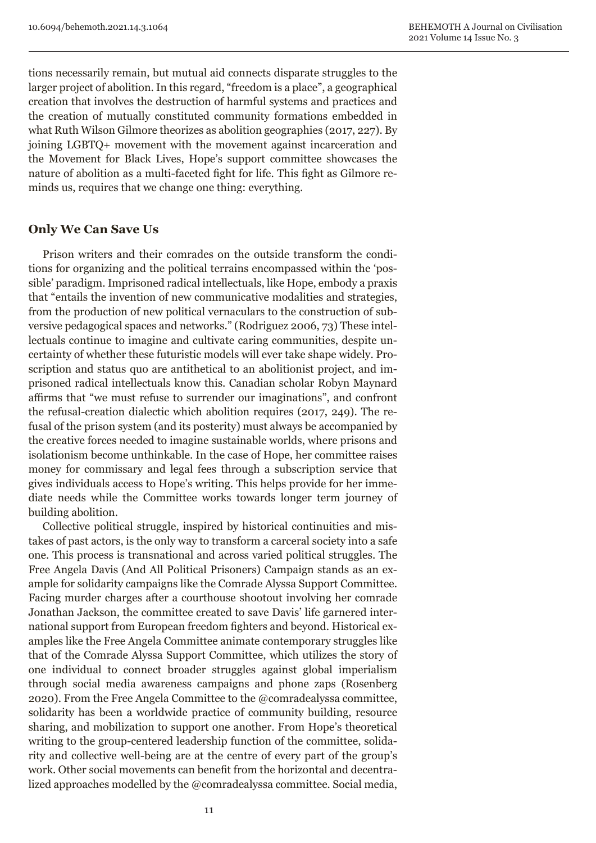tions necessarily remain, but mutual aid connects disparate struggles to the larger project of abolition. In this regard, "freedom is a place", a geographical creation that involves the destruction of harmful systems and practices and the creation of mutually constituted community formations embedded in what Ruth Wilson Gilmore theorizes as abolition geographies (2017, 227). By joining LGBTQ+ movement with the movement against incarceration and the Movement for Black Lives, Hope's support committee showcases the nature of abolition as a multi-faceted fight for life. This fight as Gilmore reminds us, requires that we change one thing: everything.

#### **Only We Can Save Us**

Prison writers and their comrades on the outside transform the conditions for organizing and the political terrains encompassed within the 'possible' paradigm. Imprisoned radical intellectuals, like Hope, embody a praxis that "entails the invention of new communicative modalities and strategies, from the production of new political vernaculars to the construction of subversive pedagogical spaces and networks." (Rodriguez 2006, 73) These intellectuals continue to imagine and cultivate caring communities, despite uncertainty of whether these futuristic models will ever take shape widely. Proscription and status quo are antithetical to an abolitionist project, and imprisoned radical intellectuals know this. Canadian scholar Robyn Maynard affirms that "we must refuse to surrender our imaginations", and confront the refusal-creation dialectic which abolition requires (2017, 249). The refusal of the prison system (and its posterity) must always be accompanied by the creative forces needed to imagine sustainable worlds, where prisons and isolationism become unthinkable. In the case of Hope, her committee raises money for commissary and legal fees through a subscription service that gives individuals access to Hope's writing. This helps provide for her immediate needs while the Committee works towards longer term journey of building abolition.

Collective political struggle, inspired by historical continuities and mistakes of past actors, is the only way to transform a carceral society into a safe one. This process is transnational and across varied political struggles. The Free Angela Davis (And All Political Prisoners) Campaign stands as an example for solidarity campaigns like the Comrade Alyssa Support Committee. Facing murder charges after a courthouse shootout involving her comrade Jonathan Jackson, the committee created to save Davis' life garnered international support from European freedom fighters and beyond. Historical examples like the Free Angela Committee animate contemporary struggles like that of the Comrade Alyssa Support Committee, which utilizes the story of one individual to connect broader struggles against global imperialism through social media awareness campaigns and phone zaps (Rosenberg 2020). From the Free Angela Committee to the @comradealyssa committee, solidarity has been a worldwide practice of community building, resource sharing, and mobilization to support one another. From Hope's theoretical writing to the group-centered leadership function of the committee, solidarity and collective well-being are at the centre of every part of the group's work. Other social movements can benefit from the horizontal and decentralized approaches modelled by the @comradealyssa committee. Social media,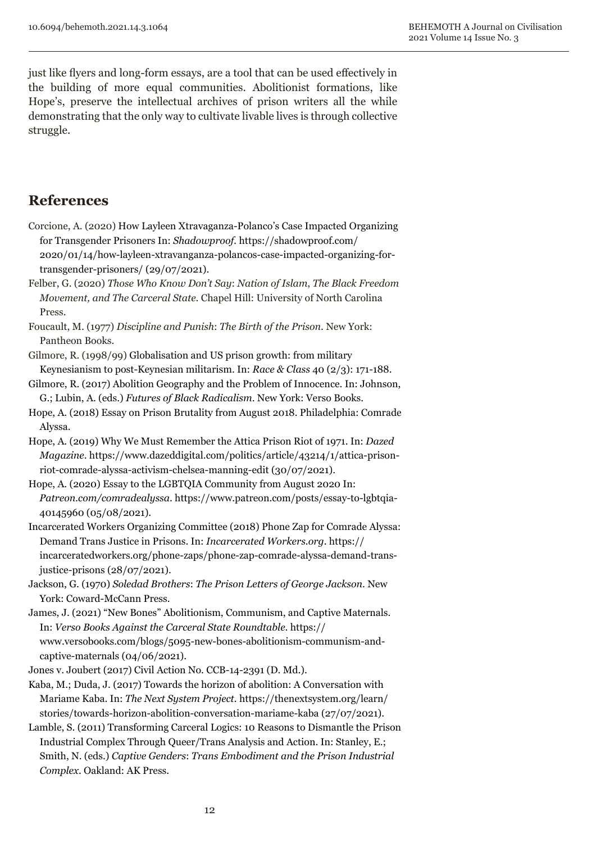just like flyers and long-form essays, are a tool that can be used effectively in the building of more equal communities. Abolitionist formations, like Hope's, preserve the intellectual archives of prison writers all the while demonstrating that the only way to cultivate livable lives is through collective struggle.

### **References**

- Corcione, A. (2020) How Layleen Xtravaganza-Polanco's Case Impacted Organizing for Transgender Prisoners In: *Shadowproof.* https://shadowproof.com/ 2020/01/14/how-layleen-xtravanganza-polancos-case-impacted-organizing-fortransgender-prisoners/ (29/07/2021).
- Felber, G. (2020) *Those Who Know Don't Say*: *Nation of Islam*, *The Black Freedom Movement, and The Carceral State*. Chapel Hill: University of North Carolina Press.
- Foucault, M. (1977) *Discipline and Punish*: *The Birth of the Prison*. New York: Pantheon Books.
- Gilmore, R. (1998/99) Globalisation and US prison growth: from military Keynesianism to post-Keynesian militarism. In: *Race & Class* 40 (2/3): 171-188.
- Gilmore, R. (2017) Abolition Geography and the Problem of Innocence. In: Johnson, G.; Lubin, A. (eds.) *Futures of Black Radicalism*. New York: Verso Books.
- Hope, A. (2018) Essay on Prison Brutality from August 2018. Philadelphia: Comrade Alyssa.
- Hope, A. (2019) Why We Must Remember the Attica Prison Riot of 1971. In: *Dazed Magazine*. https://www.dazeddigital.com/politics/article/43214/1/attica-prisonriot-comrade-alyssa-activism-chelsea-manning-edit (30/07/2021).
- Hope, A. (2020) Essay to the LGBTQIA Community from August 2020 In: *Patreon.com/comradealyssa*. https://www.patreon.com/posts/essay-to-lgbtqia-40145960 (05/08/2021).
- Incarcerated Workers Organizing Committee (2018) Phone Zap for Comrade Alyssa: Demand Trans Justice in Prisons. In: *Incarcerated Workers.org*. https:// incarceratedworkers.org/phone-zaps/phone-zap-comrade-alyssa-demand-transjustice-prisons (28/07/2021).
- Jackson, G. (1970) *Soledad Brothers*: *The Prison Letters of George Jackson*. New York: Coward-McCann Press.
- James, J. (2021) "New Bones" Abolitionism, Communism, and Captive Maternals. In: *Verso Books Against the Carceral State Roundtable*. https:// www.versobooks.com/blogs/5095-new-bones-abolitionism-communism-andcaptive-maternals (04/06/2021).
- Jones v. Joubert (2017) Civil Action No. CCB-14-2391 (D. Md.).
- Kaba, M.; Duda, J. (2017) Towards the horizon of abolition: A Conversation with Mariame Kaba. In: *The Next System Project.* https://thenextsystem.org/learn/ stories/towards-horizon-abolition-conversation-mariame-kaba (27/07/2021).
- Lamble, S. (2011) Transforming Carceral Logics: 10 Reasons to Dismantle the Prison Industrial Complex Through Queer/Trans Analysis and Action. In: Stanley, E.; Smith, N. (eds.) *Captive Genders*: *Trans Embodiment and the Prison Industrial Complex*. Oakland: AK Press.